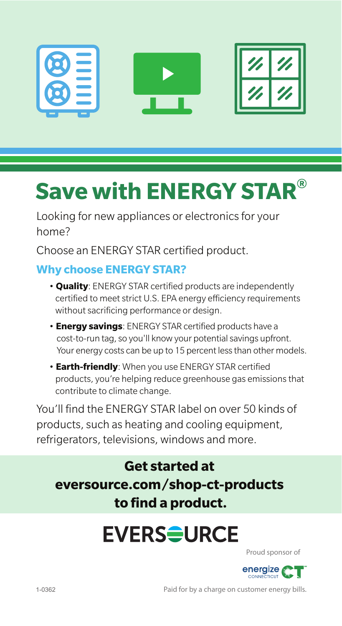

# **Save with ENERGY STAR®**

Looking for new appliances or electronics for your home?

Choose an ENERGY STAR certified product.

#### **Why choose ENERGY STAR?**

- **Quality**: ENERGY STAR certified products are independently certified to meet strict U.S. EPA energy efficiency requirements without sacrificing performance or design.
- **Energy savings**: ENERGY STAR certified products have a cost-to-run tag, so you'll know your potential savings upfront. Your energy costs can be up to 15 percent less than other models.
- **Earth-friendly**: When you use ENERGY STAR certified products, you're helping reduce greenhouse gas emissions that contribute to climate change.

You'll find the ENERGY STAR label on over 50 kinds of products, such as heating and cooling equipment, refrigerators, televisions, windows and more.

**Get started at eversource.com/shop-ct-products to find a product.**

### **EVERS<del>S</del>URCE**

Proud sponsor of



Paid for by a charge on customer energy bills.